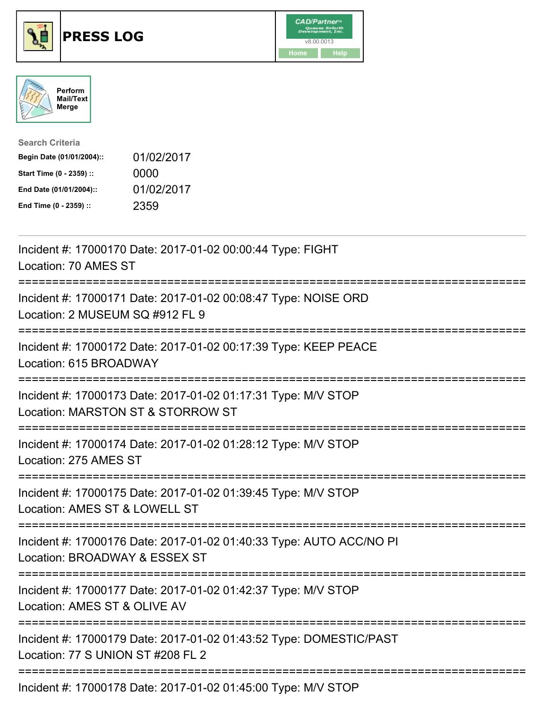





| <b>Search Criteria</b>    |            |
|---------------------------|------------|
| Begin Date (01/01/2004):: | 01/02/2017 |
| Start Time (0 - 2359) ::  | 0000       |
| End Date (01/01/2004)::   | 01/02/2017 |
| End Time (0 - 2359) ::    | 2359       |

| Incident #: 17000170 Date: 2017-01-02 00:00:44 Type: FIGHT<br>Location: 70 AMES ST                                               |
|----------------------------------------------------------------------------------------------------------------------------------|
| Incident #: 17000171 Date: 2017-01-02 00:08:47 Type: NOISE ORD<br>Location: 2 MUSEUM SQ #912 FL 9<br>===========                 |
| Incident #: 17000172 Date: 2017-01-02 00:17:39 Type: KEEP PEACE<br>Location: 615 BROADWAY                                        |
| Incident #: 17000173 Date: 2017-01-02 01:17:31 Type: M/V STOP<br>Location: MARSTON ST & STORROW ST<br>========================== |
| Incident #: 17000174 Date: 2017-01-02 01:28:12 Type: M/V STOP<br>Location: 275 AMES ST                                           |
| Incident #: 17000175 Date: 2017-01-02 01:39:45 Type: M/V STOP<br>Location: AMES ST & LOWELL ST                                   |
| ======================<br>Incident #: 17000176 Date: 2017-01-02 01:40:33 Type: AUTO ACC/NO PI<br>Location: BROADWAY & ESSEX ST   |
| Incident #: 17000177 Date: 2017-01-02 01:42:37 Type: M/V STOP<br>Location: AMES ST & OLIVE AV                                    |
| Incident #: 17000179 Date: 2017-01-02 01:43:52 Type: DOMESTIC/PAST<br>Location: 77 S UNION ST #208 FL 2                          |
| Incident #: 17000178 Date: 2017-01-02 01:45:00 Type: M/V STOP                                                                    |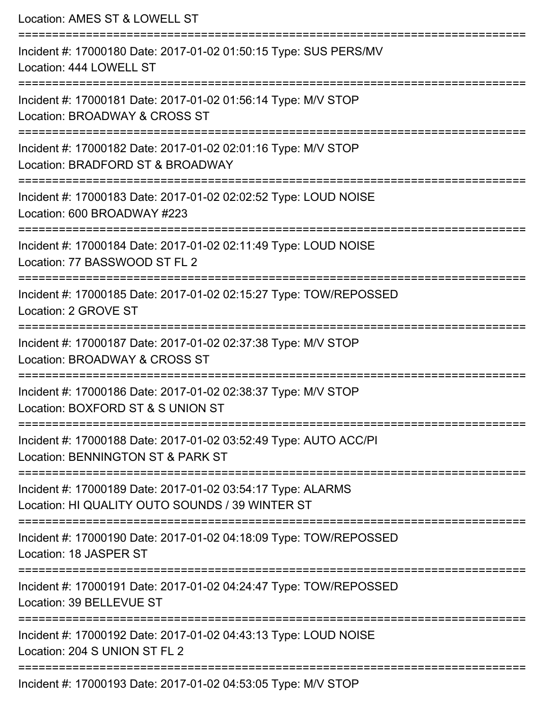Location: AMES ST & LOWELL ST =========================================================================== Incident #: 17000180 Date: 2017-01-02 01:50:15 Type: SUS PERS/MV Location: 444 LOWELL ST =========================================================================== Incident #: 17000181 Date: 2017-01-02 01:56:14 Type: M/V STOP Location: BROADWAY & CROSS ST =========================================================================== Incident #: 17000182 Date: 2017-01-02 02:01:16 Type: M/V STOP Location: BRADFORD ST & BROADWAY =========================================================================== Incident #: 17000183 Date: 2017-01-02 02:02:52 Type: LOUD NOISE Location: 600 BROADWAY #223 =========================================================================== Incident #: 17000184 Date: 2017-01-02 02:11:49 Type: LOUD NOISE Location: 77 BASSWOOD ST FL 2 =========================================================================== Incident #: 17000185 Date: 2017-01-02 02:15:27 Type: TOW/REPOSSED Location: 2 GROVE ST =========================================================================== Incident #: 17000187 Date: 2017-01-02 02:37:38 Type: M/V STOP Location: BROADWAY & CROSS ST =========================================================================== Incident #: 17000186 Date: 2017-01-02 02:38:37 Type: M/V STOP Location: BOXFORD ST & S UNION ST =========================================================================== Incident #: 17000188 Date: 2017-01-02 03:52:49 Type: AUTO ACC/PI Location: BENNINGTON ST & PARK ST =========================================================================== Incident #: 17000189 Date: 2017-01-02 03:54:17 Type: ALARMS Location: HI QUALITY OUTO SOUNDS / 39 WINTER ST =========================================================================== Incident #: 17000190 Date: 2017-01-02 04:18:09 Type: TOW/REPOSSED Location: 18 JASPER ST =========================================================================== Incident #: 17000191 Date: 2017-01-02 04:24:47 Type: TOW/REPOSSED Location: 39 BELLEVUE ST =========================================================================== Incident #: 17000192 Date: 2017-01-02 04:43:13 Type: LOUD NOISE Location: 204 S UNION ST FL 2 =========================================================================== Incident #: 17000193 Date: 2017-01-02 04:53:05 Type: M/V STOP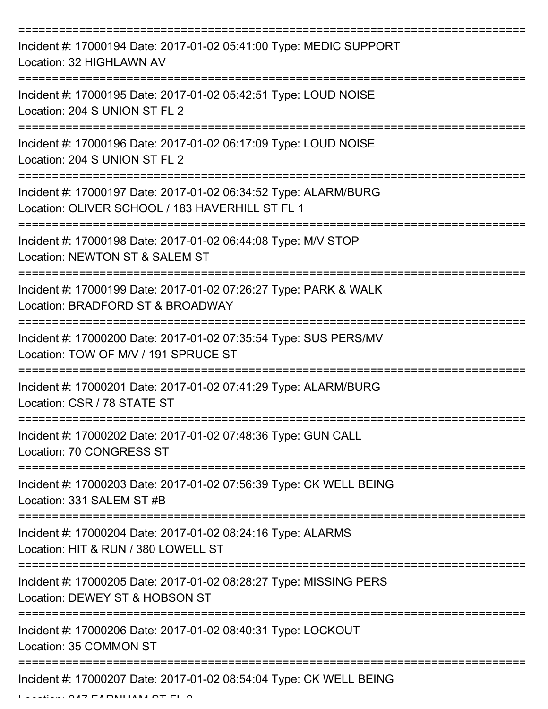| Incident #: 17000194 Date: 2017-01-02 05:41:00 Type: MEDIC SUPPORT<br>Location: 32 HIGHLAWN AV                     |
|--------------------------------------------------------------------------------------------------------------------|
| Incident #: 17000195 Date: 2017-01-02 05:42:51 Type: LOUD NOISE<br>Location: 204 S UNION ST FL 2                   |
| Incident #: 17000196 Date: 2017-01-02 06:17:09 Type: LOUD NOISE<br>Location: 204 S UNION ST FL 2                   |
| Incident #: 17000197 Date: 2017-01-02 06:34:52 Type: ALARM/BURG<br>Location: OLIVER SCHOOL / 183 HAVERHILL ST FL 1 |
| Incident #: 17000198 Date: 2017-01-02 06:44:08 Type: M/V STOP<br>Location: NEWTON ST & SALEM ST                    |
| Incident #: 17000199 Date: 2017-01-02 07:26:27 Type: PARK & WALK<br>Location: BRADFORD ST & BROADWAY               |
| Incident #: 17000200 Date: 2017-01-02 07:35:54 Type: SUS PERS/MV<br>Location: TOW OF M/V / 191 SPRUCE ST           |
| Incident #: 17000201 Date: 2017-01-02 07:41:29 Type: ALARM/BURG<br>Location: CSR / 78 STATE ST                     |
| Incident #: 17000202 Date: 2017-01-02 07:48:36 Type: GUN CALL<br>Location: 70 CONGRESS ST                          |
| Incident #: 17000203 Date: 2017-01-02 07:56:39 Type: CK WELL BEING<br>Location: 331 SALEM ST #B                    |
| Incident #: 17000204 Date: 2017-01-02 08:24:16 Type: ALARMS<br>Location: HIT & RUN / 380 LOWELL ST                 |
| Incident #: 17000205 Date: 2017-01-02 08:28:27 Type: MISSING PERS<br>Location: DEWEY ST & HOBSON ST                |
| Incident #: 17000206 Date: 2017-01-02 08:40:31 Type: LOCKOUT<br>Location: 35 COMMON ST                             |
| Incident #: 17000207 Date: 2017-01-02 08:54:04 Type: CK WELL BEING                                                 |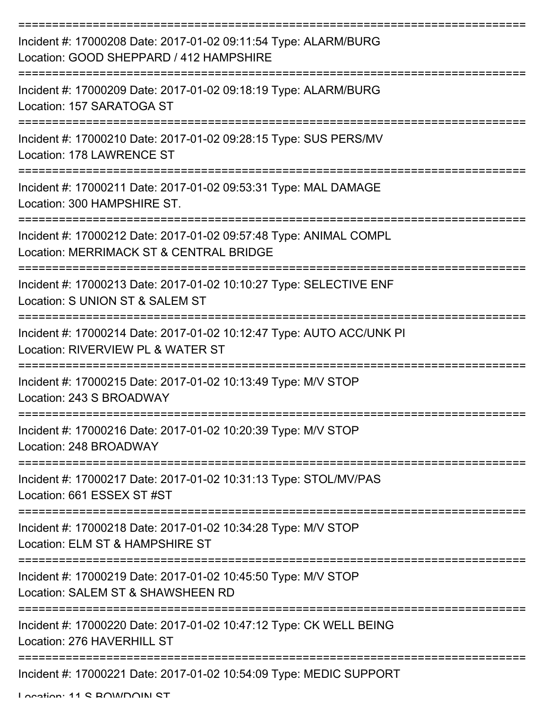| Incident #: 17000208 Date: 2017-01-02 09:11:54 Type: ALARM/BURG<br>Location: GOOD SHEPPARD / 412 HAMPSHIRE   |
|--------------------------------------------------------------------------------------------------------------|
| Incident #: 17000209 Date: 2017-01-02 09:18:19 Type: ALARM/BURG<br>Location: 157 SARATOGA ST                 |
| Incident #: 17000210 Date: 2017-01-02 09:28:15 Type: SUS PERS/MV<br>Location: 178 LAWRENCE ST                |
| Incident #: 17000211 Date: 2017-01-02 09:53:31 Type: MAL DAMAGE<br>Location: 300 HAMPSHIRE ST.               |
| Incident #: 17000212 Date: 2017-01-02 09:57:48 Type: ANIMAL COMPL<br>Location: MERRIMACK ST & CENTRAL BRIDGE |
| Incident #: 17000213 Date: 2017-01-02 10:10:27 Type: SELECTIVE ENF<br>Location: S UNION ST & SALEM ST        |
| Incident #: 17000214 Date: 2017-01-02 10:12:47 Type: AUTO ACC/UNK PI<br>Location: RIVERVIEW PL & WATER ST    |
| Incident #: 17000215 Date: 2017-01-02 10:13:49 Type: M/V STOP<br>Location: 243 S BROADWAY                    |
| Incident #: 17000216 Date: 2017-01-02 10:20:39 Type: M/V STOP<br>Location: 248 BROADWAY                      |
| Incident #: 17000217 Date: 2017-01-02 10:31:13 Type: STOL/MV/PAS<br>Location: 661 ESSEX ST #ST               |
| Incident #: 17000218 Date: 2017-01-02 10:34:28 Type: M/V STOP<br>Location: ELM ST & HAMPSHIRE ST             |
| Incident #: 17000219 Date: 2017-01-02 10:45:50 Type: M/V STOP<br>Location: SALEM ST & SHAWSHEEN RD           |
| Incident #: 17000220 Date: 2017-01-02 10:47:12 Type: CK WELL BEING<br>Location: 276 HAVERHILL ST             |
| Incident #: 17000221 Date: 2017-01-02 10:54:09 Type: MEDIC SUPPORT                                           |

Location: 11 C BOWDOIN CT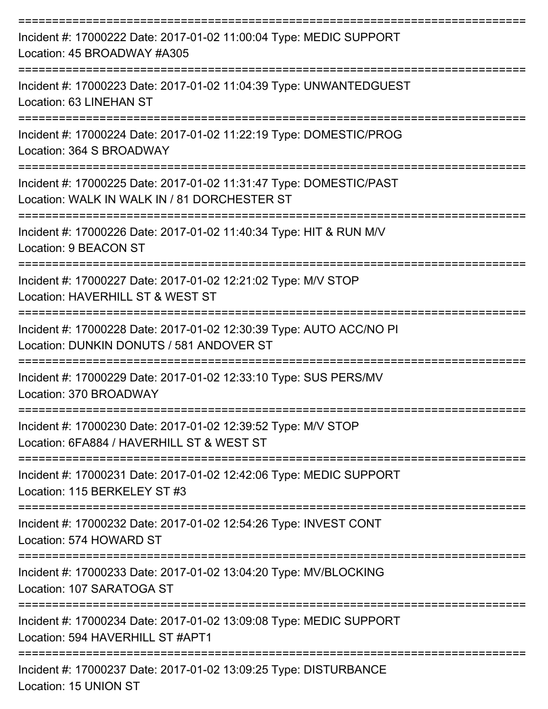| Incident #: 17000222 Date: 2017-01-02 11:00:04 Type: MEDIC SUPPORT<br>Location: 45 BROADWAY #A305                                      |
|----------------------------------------------------------------------------------------------------------------------------------------|
| Incident #: 17000223 Date: 2017-01-02 11:04:39 Type: UNWANTEDGUEST<br>Location: 63 LINEHAN ST                                          |
| Incident #: 17000224 Date: 2017-01-02 11:22:19 Type: DOMESTIC/PROG<br>Location: 364 S BROADWAY                                         |
| Incident #: 17000225 Date: 2017-01-02 11:31:47 Type: DOMESTIC/PAST<br>Location: WALK IN WALK IN / 81 DORCHESTER ST                     |
| Incident #: 17000226 Date: 2017-01-02 11:40:34 Type: HIT & RUN M/V<br>Location: 9 BEACON ST                                            |
| Incident #: 17000227 Date: 2017-01-02 12:21:02 Type: M/V STOP<br>Location: HAVERHILL ST & WEST ST                                      |
| Incident #: 17000228 Date: 2017-01-02 12:30:39 Type: AUTO ACC/NO PI<br>Location: DUNKIN DONUTS / 581 ANDOVER ST                        |
| Incident #: 17000229 Date: 2017-01-02 12:33:10 Type: SUS PERS/MV<br>Location: 370 BROADWAY                                             |
| Incident #: 17000230 Date: 2017-01-02 12:39:52 Type: M/V STOP<br>Location: 6FA884 / HAVERHILL ST & WEST ST                             |
| Incident #: 17000231 Date: 2017-01-02 12:42:06 Type: MEDIC SUPPORT<br>Location: 115 BERKELEY ST #3                                     |
| Incident #: 17000232 Date: 2017-01-02 12:54:26 Type: INVEST CONT<br>Location: 574 HOWARD ST                                            |
| _____________________________________<br>Incident #: 17000233 Date: 2017-01-02 13:04:20 Type: MV/BLOCKING<br>Location: 107 SARATOGA ST |
| Incident #: 17000234 Date: 2017-01-02 13:09:08 Type: MEDIC SUPPORT<br>Location: 594 HAVERHILL ST #APT1                                 |
| Incident #: 17000237 Date: 2017-01-02 13:09:25 Type: DISTURBANCE                                                                       |

Location: 15 UNION ST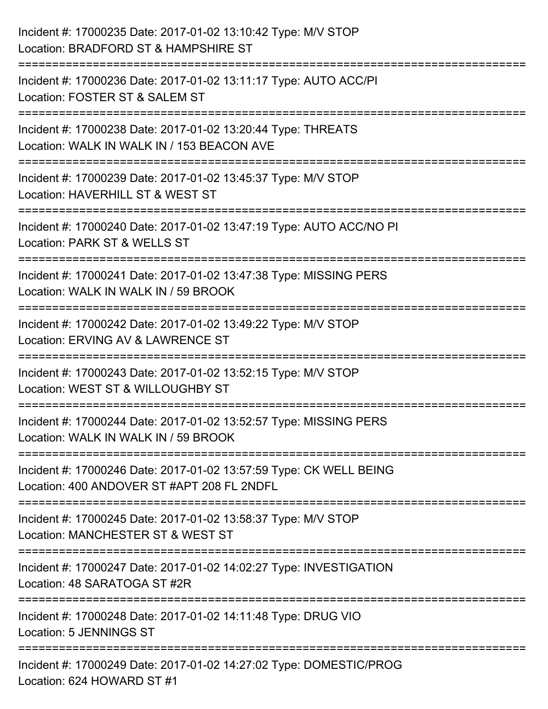| Incident #: 17000235 Date: 2017-01-02 13:10:42 Type: M/V STOP<br>Location: BRADFORD ST & HAMPSHIRE ST                             |
|-----------------------------------------------------------------------------------------------------------------------------------|
| ======================<br>Incident #: 17000236 Date: 2017-01-02 13:11:17 Type: AUTO ACC/PI<br>Location: FOSTER ST & SALEM ST      |
| Incident #: 17000238 Date: 2017-01-02 13:20:44 Type: THREATS<br>Location: WALK IN WALK IN / 153 BEACON AVE<br>------------------- |
| Incident #: 17000239 Date: 2017-01-02 13:45:37 Type: M/V STOP<br>Location: HAVERHILL ST & WEST ST                                 |
| Incident #: 17000240 Date: 2017-01-02 13:47:19 Type: AUTO ACC/NO PI<br>Location: PARK ST & WELLS ST<br>------------------         |
| Incident #: 17000241 Date: 2017-01-02 13:47:38 Type: MISSING PERS<br>Location: WALK IN WALK IN / 59 BROOK                         |
| Incident #: 17000242 Date: 2017-01-02 13:49:22 Type: M/V STOP<br>Location: ERVING AV & LAWRENCE ST                                |
| Incident #: 17000243 Date: 2017-01-02 13:52:15 Type: M/V STOP<br>Location: WEST ST & WILLOUGHBY ST                                |
| Incident #: 17000244 Date: 2017-01-02 13:52:57 Type: MISSING PERS<br>Location: WALK IN WALK IN / 59 BROOK                         |
| Incident #: 17000246 Date: 2017-01-02 13:57:59 Type: CK WELL BEING<br>Location: 400 ANDOVER ST #APT 208 FL 2NDFL                  |
| Incident #: 17000245 Date: 2017-01-02 13:58:37 Type: M/V STOP<br>Location: MANCHESTER ST & WEST ST                                |
| Incident #: 17000247 Date: 2017-01-02 14:02:27 Type: INVESTIGATION<br>Location: 48 SARATOGA ST #2R                                |
| Incident #: 17000248 Date: 2017-01-02 14:11:48 Type: DRUG VIO<br>Location: 5 JENNINGS ST                                          |
| Incident #: 17000249 Date: 2017-01-02 14:27:02 Type: DOMESTIC/PROG<br>Location: 624 HOWARD ST #1                                  |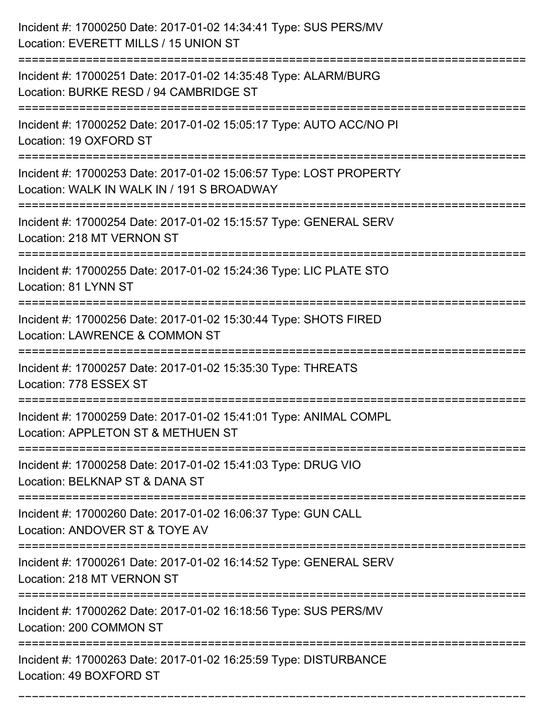| Incident #: 17000250 Date: 2017-01-02 14:34:41 Type: SUS PERS/MV<br>Location: EVERETT MILLS / 15 UNION ST        |
|------------------------------------------------------------------------------------------------------------------|
| Incident #: 17000251 Date: 2017-01-02 14:35:48 Type: ALARM/BURG<br>Location: BURKE RESD / 94 CAMBRIDGE ST        |
| Incident #: 17000252 Date: 2017-01-02 15:05:17 Type: AUTO ACC/NO PI<br>Location: 19 OXFORD ST                    |
| Incident #: 17000253 Date: 2017-01-02 15:06:57 Type: LOST PROPERTY<br>Location: WALK IN WALK IN / 191 S BROADWAY |
| Incident #: 17000254 Date: 2017-01-02 15:15:57 Type: GENERAL SERV<br>Location: 218 MT VERNON ST                  |
| Incident #: 17000255 Date: 2017-01-02 15:24:36 Type: LIC PLATE STO<br>Location: 81 LYNN ST                       |
| Incident #: 17000256 Date: 2017-01-02 15:30:44 Type: SHOTS FIRED<br>Location: LAWRENCE & COMMON ST               |
| Incident #: 17000257 Date: 2017-01-02 15:35:30 Type: THREATS<br>Location: 778 ESSEX ST                           |
| Incident #: 17000259 Date: 2017-01-02 15:41:01 Type: ANIMAL COMPL<br>Location: APPLETON ST & METHUEN ST          |
| Incident #: 17000258 Date: 2017-01-02 15:41:03 Type: DRUG VIO<br>Location: BELKNAP ST & DANA ST                  |
| Incident #: 17000260 Date: 2017-01-02 16:06:37 Type: GUN CALL<br>Location: ANDOVER ST & TOYE AV                  |
| Incident #: 17000261 Date: 2017-01-02 16:14:52 Type: GENERAL SERV<br>Location: 218 MT VERNON ST                  |
| Incident #: 17000262 Date: 2017-01-02 16:18:56 Type: SUS PERS/MV<br>Location: 200 COMMON ST                      |
| Incident #: 17000263 Date: 2017-01-02 16:25:59 Type: DISTURBANCE<br>Location: 49 BOXFORD ST                      |

===========================================================================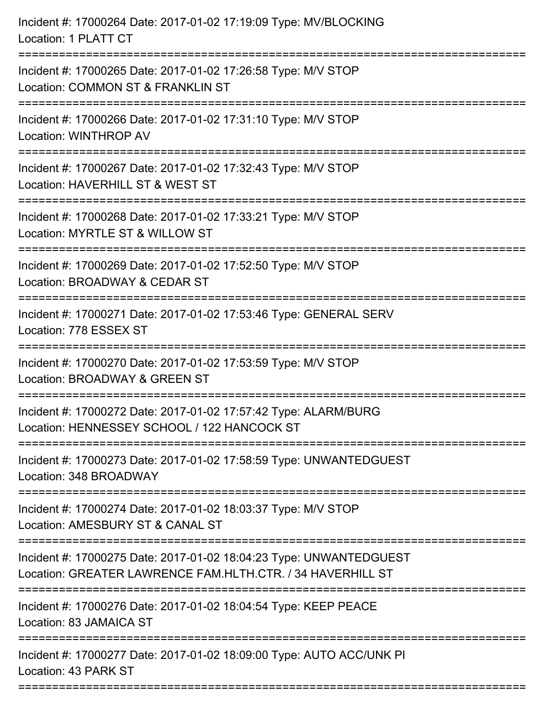| Incident #: 17000264 Date: 2017-01-02 17:19:09 Type: MV/BLOCKING<br>Location: 1 PLATT CT                                                                                |
|-------------------------------------------------------------------------------------------------------------------------------------------------------------------------|
| Incident #: 17000265 Date: 2017-01-02 17:26:58 Type: M/V STOP<br>Location: COMMON ST & FRANKLIN ST                                                                      |
| Incident #: 17000266 Date: 2017-01-02 17:31:10 Type: M/V STOP<br>Location: WINTHROP AV                                                                                  |
| Incident #: 17000267 Date: 2017-01-02 17:32:43 Type: M/V STOP<br>Location: HAVERHILL ST & WEST ST                                                                       |
| Incident #: 17000268 Date: 2017-01-02 17:33:21 Type: M/V STOP<br>Location: MYRTLE ST & WILLOW ST<br>:=====================<br>======================================    |
| Incident #: 17000269 Date: 2017-01-02 17:52:50 Type: M/V STOP<br>Location: BROADWAY & CEDAR ST                                                                          |
| Incident #: 17000271 Date: 2017-01-02 17:53:46 Type: GENERAL SERV<br>Location: 778 ESSEX ST                                                                             |
| Incident #: 17000270 Date: 2017-01-02 17:53:59 Type: M/V STOP<br>Location: BROADWAY & GREEN ST                                                                          |
| Incident #: 17000272 Date: 2017-01-02 17:57:42 Type: ALARM/BURG<br>Location: HENNESSEY SCHOOL / 122 HANCOCK ST                                                          |
| Incident #: 17000273 Date: 2017-01-02 17:58:59 Type: UNWANTEDGUEST<br>Location: 348 BROADWAY                                                                            |
| Incident #: 17000274 Date: 2017-01-02 18:03:37 Type: M/V STOP<br>Location: AMESBURY ST & CANAL ST                                                                       |
| Incident #: 17000275 Date: 2017-01-02 18:04:23 Type: UNWANTEDGUEST<br>Location: GREATER LAWRENCE FAM.HLTH.CTR. / 34 HAVERHILL ST<br>=================================== |
| Incident #: 17000276 Date: 2017-01-02 18:04:54 Type: KEEP PEACE<br>Location: 83 JAMAICA ST<br>___________________                                                       |
| Incident #: 17000277 Date: 2017-01-02 18:09:00 Type: AUTO ACC/UNK PI<br>Location: 43 PARK ST                                                                            |
|                                                                                                                                                                         |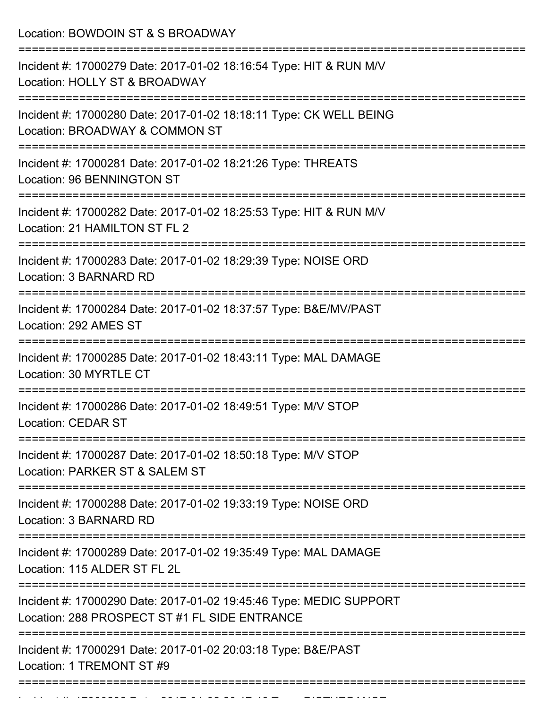Location: BOWDOIN ST & S BROADWAY

| Incident #: 17000279 Date: 2017-01-02 18:16:54 Type: HIT & RUN M/V<br>Location: HOLLY ST & BROADWAY                 |
|---------------------------------------------------------------------------------------------------------------------|
| Incident #: 17000280 Date: 2017-01-02 18:18:11 Type: CK WELL BEING<br>Location: BROADWAY & COMMON ST                |
| Incident #: 17000281 Date: 2017-01-02 18:21:26 Type: THREATS<br><b>Location: 96 BENNINGTON ST</b>                   |
| Incident #: 17000282 Date: 2017-01-02 18:25:53 Type: HIT & RUN M/V<br>Location: 21 HAMILTON ST FL 2                 |
| Incident #: 17000283 Date: 2017-01-02 18:29:39 Type: NOISE ORD<br>Location: 3 BARNARD RD                            |
| Incident #: 17000284 Date: 2017-01-02 18:37:57 Type: B&E/MV/PAST<br>Location: 292 AMES ST                           |
| Incident #: 17000285 Date: 2017-01-02 18:43:11 Type: MAL DAMAGE<br>Location: 30 MYRTLE CT                           |
| Incident #: 17000286 Date: 2017-01-02 18:49:51 Type: M/V STOP<br><b>Location: CEDAR ST</b>                          |
| Incident #: 17000287 Date: 2017-01-02 18:50:18 Type: M/V STOP<br>Location: PARKER ST & SALEM ST                     |
| Incident #: 17000288 Date: 2017-01-02 19:33:19 Type: NOISE ORD<br>Location: 3 BARNARD RD                            |
| Incident #: 17000289 Date: 2017-01-02 19:35:49 Type: MAL DAMAGE<br>Location: 115 ALDER ST FL 2L                     |
| Incident #: 17000290 Date: 2017-01-02 19:45:46 Type: MEDIC SUPPORT<br>Location: 288 PROSPECT ST #1 FL SIDE ENTRANCE |
| Incident #: 17000291 Date: 2017-01-02 20:03:18 Type: B&E/PAST<br>Location: 1 TREMONT ST #9                          |
|                                                                                                                     |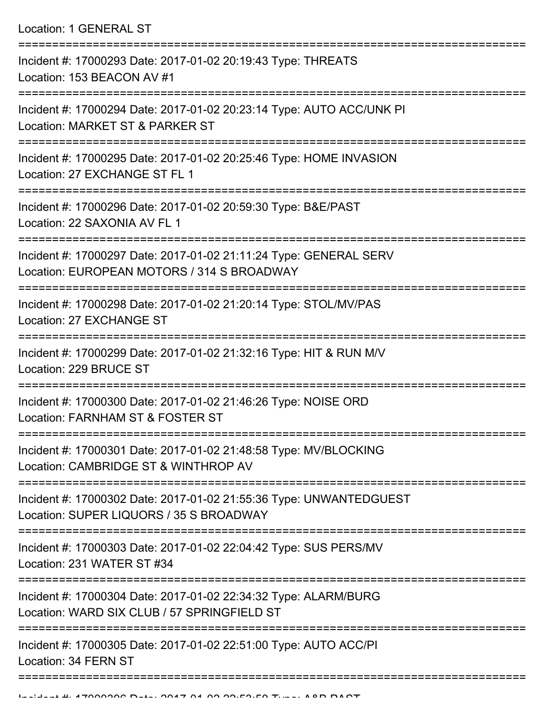Location: 1 GENERAL ST

| Incident #: 17000293 Date: 2017-01-02 20:19:43 Type: THREATS<br>Location: 153 BEACON AV #1                      |
|-----------------------------------------------------------------------------------------------------------------|
| Incident #: 17000294 Date: 2017-01-02 20:23:14 Type: AUTO ACC/UNK PI<br>Location: MARKET ST & PARKER ST         |
| Incident #: 17000295 Date: 2017-01-02 20:25:46 Type: HOME INVASION<br>Location: 27 EXCHANGE ST FL 1             |
| Incident #: 17000296 Date: 2017-01-02 20:59:30 Type: B&E/PAST<br>Location: 22 SAXONIA AV FL 1                   |
| Incident #: 17000297 Date: 2017-01-02 21:11:24 Type: GENERAL SERV<br>Location: EUROPEAN MOTORS / 314 S BROADWAY |
| Incident #: 17000298 Date: 2017-01-02 21:20:14 Type: STOL/MV/PAS<br>Location: 27 EXCHANGE ST                    |
| Incident #: 17000299 Date: 2017-01-02 21:32:16 Type: HIT & RUN M/V<br>Location: 229 BRUCE ST                    |
| Incident #: 17000300 Date: 2017-01-02 21:46:26 Type: NOISE ORD<br>Location: FARNHAM ST & FOSTER ST              |
| Incident #: 17000301 Date: 2017-01-02 21:48:58 Type: MV/BLOCKING<br>Location: CAMBRIDGE ST & WINTHROP AV        |
| Incident #: 17000302 Date: 2017-01-02 21:55:36 Type: UNWANTEDGUEST<br>Location: SUPER LIQUORS / 35 S BROADWAY   |
| Incident #: 17000303 Date: 2017-01-02 22:04:42 Type: SUS PERS/MV<br>Location: 231 WATER ST #34                  |
| Incident #: 17000304 Date: 2017-01-02 22:34:32 Type: ALARM/BURG<br>Location: WARD SIX CLUB / 57 SPRINGFIELD ST  |
| Incident #: 17000305 Date: 2017-01-02 22:51:00 Type: AUTO ACC/PI<br>Location: 34 FERN ST                        |
|                                                                                                                 |